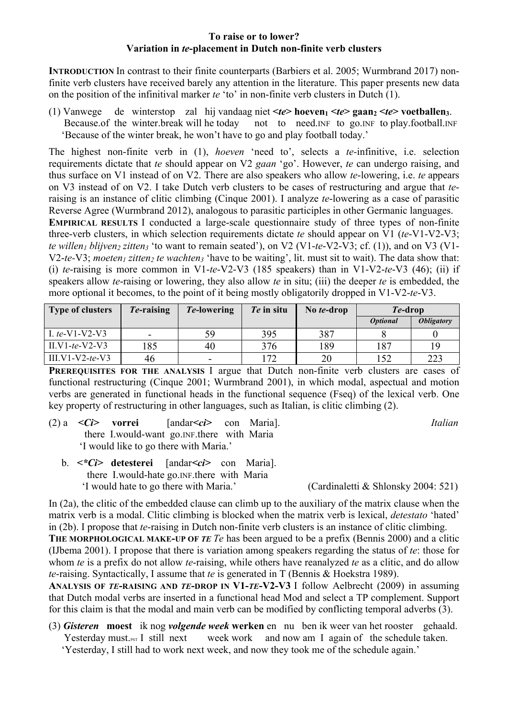## **To raise or to lower? Variation in** *te***-placement in Dutch non-finite verb clusters**

**INTRODUCTION** In contrast to their finite counterparts (Barbiers et al. 2005; Wurmbrand 2017) nonfinite verb clusters have received barely any attention in the literature. This paper presents new data on the position of the infinitival marker *te* 'to' in non-finite verb clusters in Dutch (1).

(1) Vanwege de winterstop zal hij vandaag niet  $\langle te \rangle$  hoeven<sub>1</sub>  $\langle te \rangle$  gaan,  $\langle te \rangle$  voetballen<sub>3</sub>. Because of the winter.break will he today not to need.INF to go.INF to play.football.INF 'Because of the winter break, he won't have to go and play football today.'

The highest non-finite verb in (1), *hoeven* 'need to', selects a *te-*infinitive, i.e. selection requirements dictate that *te* should appear on V2 *gaan* 'go'. However, *te* can undergo raising, and thus surface on V1 instead of on V2. There are also speakers who allow *te*-lowering, i.e. *te* appears on V3 instead of on V2. I take Dutch verb clusters to be cases of restructuring and argue that *te*raising is an instance of clitic climbing (Cinque 2001). I analyze *te*-lowering as a case of parasitic Reverse Agree (Wurmbrand 2012), analogous to parasitic participles in other Germanic languages. **EMPIRICAL RESULTS** I conducted a large-scale questionnaire study of three types of non-finite

three-verb clusters, in which selection requirements dictate *te* should appear on V1 (*te*-V1-V2-V3; *te willen<sub>1</sub> blijven<sub>2</sub> zitten<sub>3</sub>* 'to want to remain seated'), on V2 (V1-*te*-V2-V3; cf. (1)), and on V3 (V1-V2-te-V3; *moeten<sub>1</sub>* zitten<sub>2</sub> te wachten<sub>3</sub> 'have to be waiting', lit. must sit to wait). The data show that: (i) *te*-raising is more common in V1-*te*-V2-V3 (185 speakers) than in V1-V2-*te*-V3 (46); (ii) if speakers allow *te*-raising or lowering, they also allow *te* in situ; (iii) the deeper *te* is embedded, the more optional it becomes, to the point of it being mostly obligatorily dropped in V1-V2-*te*-V3.

| <b>Type of clusters</b> | Te-raising | <i>Te-lowering</i> | Te in situ | No te-drop | <i>Te-drop</i>         |                          |
|-------------------------|------------|--------------------|------------|------------|------------------------|--------------------------|
|                         |            |                    |            |            | <i><b>Optional</b></i> | <i><b>Obligatory</b></i> |
| L te-V1-V2-V3           | $\sim$     | 59                 | 395        | 387        |                        |                          |
| II.V1-te-V2-V3          | 185        | 40                 | 376        | 189        | 187                    | 19                       |
| $III.V1-V2-te-V3$       | 46         | ۰.                 | 172        | 20         | .52                    | 223                      |

**PREREQUISITES FOR THE ANALYSIS** I argue that Dutch non-finite verb clusters are cases of functional restructuring (Cinque 2001; Wurmbrand 2001), in which modal, aspectual and motion verbs are generated in functional heads in the functional sequence (Fseq) of the lexical verb. One key property of restructuring in other languages, such as Italian, is clitic climbing (2).

(2) a *<Ci>* **vorrei** [andar*<ci>* con Maria]. *Italian* there I.would-want go.INF.there with Maria 'I would like to go there with Maria.'

 b. *<\*Ci>* **detesterei** [andar*<ci>* con Maria]. there I.would-hate go.INF.there with Maria 'I would hate to go there with Maria.' (Cardinaletti & Shlonsky 2004: 521)

In (2a), the clitic of the embedded clause can climb up to the auxiliary of the matrix clause when the matrix verb is a modal. Clitic climbing is blocked when the matrix verb is lexical, *detestato* 'hated' in (2b). I propose that *te*-raising in Dutch non-finite verb clusters is an instance of clitic climbing.

**THE MORPHOLOGICAL MAKE-UP OF** *TE Te* has been argued to be a prefix (Bennis 2000) and a clitic (IJbema 2001). I propose that there is variation among speakers regarding the status of *te*: those for whom *te* is a prefix do not allow *te*-raising, while others have reanalyzed *te* as a clitic, and do allow *te*-raising. Syntactically, I assume that *te* is generated in T (Bennis & Hoekstra 1989).

**ANALYSIS OF** *TE***-RAISING AND** *TE***-DROP IN V1-***TE***-V2-V3** I follow Aelbrecht (2009) in assuming that Dutch modal verbs are inserted in a functional head Mod and select a TP complement. Support for this claim is that the modal and main verb can be modified by conflicting temporal adverbs (3).

(3) *Gisteren* **moest** ik nog *volgende week* **werken** en nu ben ik weer van het rooster gehaald. Yesterday must.<sub>PST</sub> I still next week work and now am I again of the schedule taken. 'Yesterday, I still had to work next week, and now they took me of the schedule again.'